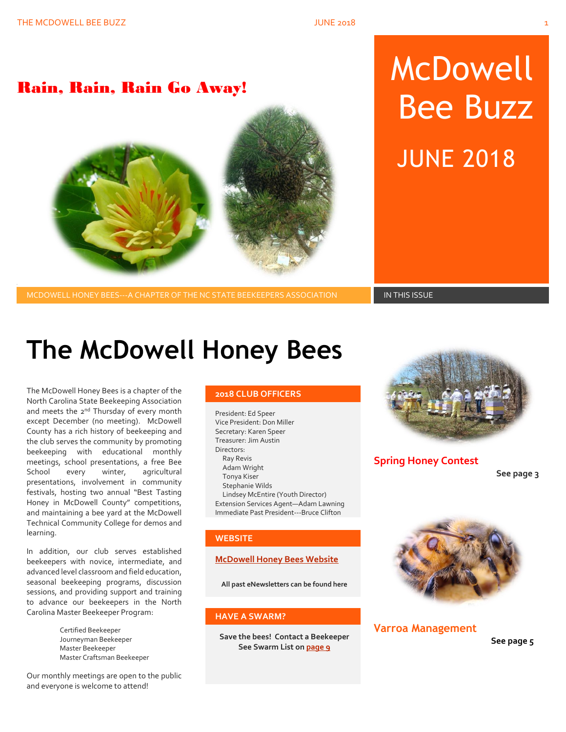### Rain, Rain, Rain Go Away!



# McDowell Bee Buzz JUNE 2018

MCDOWELL HONEY BEES---A CHAPTER OF THE NC STATE BEEKEEPERS ASSOCIATION **IN THIS ISSUE** 

# **The McDowell Honey Bees**

The McDowell Honey Bees is a chapter of the North Carolina State Beekeeping Association and meets the 2<sup>nd</sup> Thursday of every month except December (no meeting). McDowell County has a rich history of beekeeping and the club serves the community by promoting beekeeping with educational monthly meetings, school presentations, a free Bee School every winter, agricultural presentations, involvement in community festivals, hosting two annual "Best Tasting Honey in McDowell County" competitions, and maintaining a bee yard at the McDowell Technical Community College for demos and learning.

In addition, our club serves established beekeepers with novice, intermediate, and advanced level classroom and field education, seasonal beekeeping programs, discussion sessions, and providing support and training to advance our beekeepers in the North Carolina Master Beekeeper Program:

> Certified Beekeeper Journeyman Beekeeper Master Beekeeper Master Craftsman Beekeeper

Our monthly meetings are open to the public and everyone is welcome to attend!

#### **2018 CLUB OFFICERS**

President: Ed Speer Vice President: Don Miller Secretary: Karen Speer Treasurer: Jim Austin Directors: Ray Revis Adam Wright Tonya Kiser Stephanie Wilds Lindsey McEntire (Youth Director) Extension Services Agent—Adam Lawning Immediate Past President---Bruce Clifton

#### **WEBSITE**

#### **[McDowell Honey Bees Website](http://www.mcdowellhoneybees.org/)**

**All past eNewsletters can be found here**

#### **HAVE A SWARM?**

**Save the bees! Contact a Beekeeper See Swarm List o[n page 9](#page-8-0)**



**Spring Honey Contest**

**See page 3**



#### **Varroa Management**

**See page 5**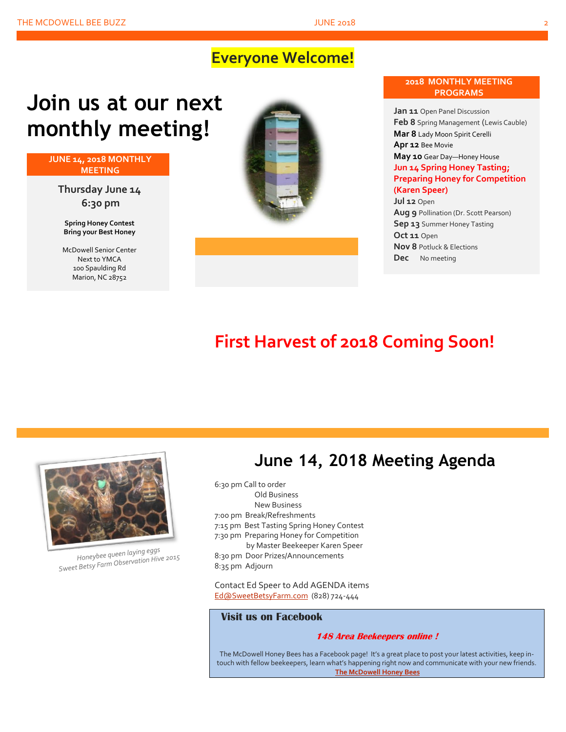### **Everyone Welcome!**

# **Join us at our next monthly meeting!**

**JUNE 14, 2018 MONTHLY MEETING**

**Thursday June 14 6:30 pm**

**Spring Honey Contest Bring your Best Honey**

McDowell Senior Center Next to YMCA 100 Spaulding Rd Marion, NC 28752





**Jan 11** Open Panel Discussion **Feb 8** Spring Management (Lewis Cauble) **Mar 8** Lady Moon Spirit Cerelli **Apr 12** Bee Movie **May 10** Gear Day—Honey House **Jun 14 Spring Honey Tasting; Preparing Honey for Competition (Karen Speer) Jul 12** Open **Aug 9** Pollination (Dr. Scott Pearson)

**Sep 13** Summer Honey Tasting **Oct 11** Open **Nov 8** Potluck & Elections **Dec** No meeting

### **First Harvest of 2018 Coming Soon!**



Honeybee queen laying eggs Honeybee queen laying egys<br>Sweet Betsy Farm Observation Hive 2015

### **June 14, 2018 Meeting Agenda**

6:30 pm Call to order Old Business New Business 7:00 pm Break/Refreshments 7:15 pm Best Tasting Spring Honey Contest 7:30 pm Preparing Honey for Competition by Master Beekeeper Karen Speer 8:30 pm Door Prizes/Announcements 8:35 pm Adjourn

Contact Ed Speer to Add AGENDA items [Ed@SweetBetsyFarm.com](mailto:Ed@SweetBetsyFarm.com) (828) 724-444

#### **Visit us on Facebook**

#### **148 Area Beekeepers online !**

The McDowell Honey Bees has a Facebook page! It's a great place to post your latest activities, keep intouch with fellow beekeepers, learn what's happening right now and communicate with your new friends. **[The McDowell Honey Bees](https://www.facebook.com/groups/MHBee/)**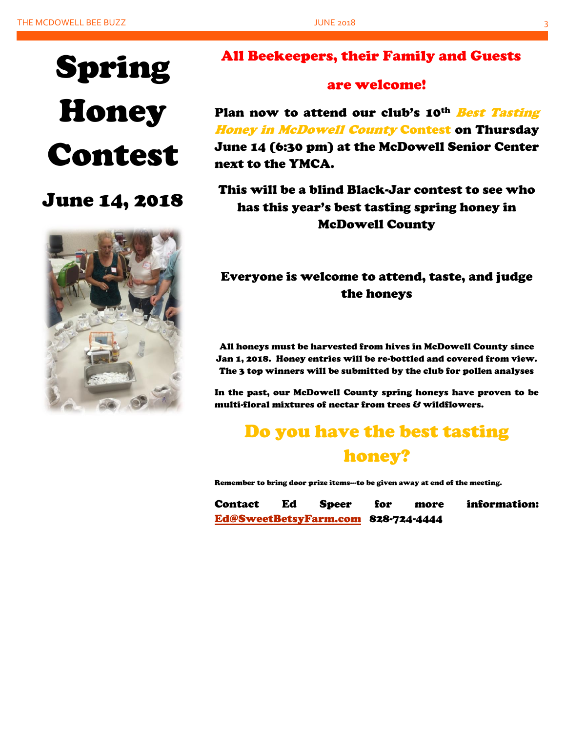# Spring **Honey** Contest

### June 14, 2018



### All Beekeepers, their Family and Guests

### are welcome!

Plan now to attend our club's 10<sup>th</sup> Best Tasting Honey in McDowell County Contest on Thursday June 14 (6:30 pm) at the McDowell Senior Center next to the YMCA.

This will be a blind Black-Jar contest to see who has this year's best tasting spring honey in McDowell County

### Everyone is welcome to attend, taste, and judge the honeys

All honeys must be harvested from hives in McDowell County since Jan 1, 2018. Honey entries will be re-bottled and covered from view. The 3 top winners will be submitted by the club for pollen analyses

In the past, our McDowell County spring honeys have proven to be multi-floral mixtures of nectar from trees & wildflowers.

## Do you have the best tasting honey?

Remember to bring door prize items---to be given away at end of the meeting.

Contact Ed Speer for more information: [Ed@SweetBetsyFarm.com](mailto:Ed@SweetBetsyFarm.com) 828-724-4444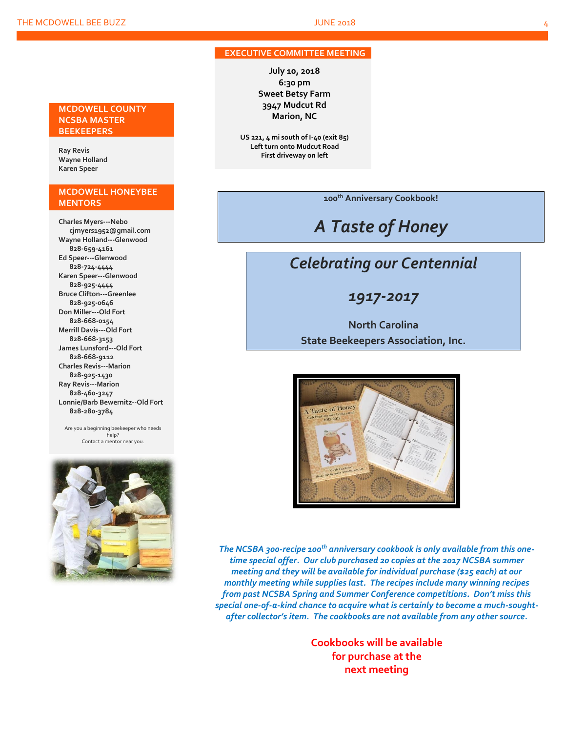#### **EXECUTIVE COMMITTEE MEETING**

**July 10, 2018 6:30 pm Sweet Betsy Farm 3947 Mudcut Rd Marion, NC**

**US 221, 4 mi south of I-40 (exit 85) Left turn onto Mudcut Road First driveway on left**

**100th Anniversary Cookbook!**

### *A Taste of Honey*

### *Celebrating our Centennial*

*1917-2017*

**North Carolina State Beekeepers Association, Inc.**



*The NCSBA 300-recipe 100th anniversary cookbook is only available from this onetime special offer. Our club purchased 20 copies at the 2017 NCSBA summer meeting and they will be available for individual purchase (\$25 each) at our monthly meeting while supplies last. The recipes include many winning recipes from past NCSBA Spring and Summer Conference competitions. Don't miss this special one-of-a-kind chance to acquire what is certainly to become a much-soughtafter collector's item. The cookbooks are not available from any other source.*

> **Cookbooks will be available for purchase at the next meeting**

#### **MCDOWELL COUNTY NCSBA MASTER BEEKEEPERS**

**Ray Revis Wayne Holland Karen Speer**

#### **MCDOWELL HONEYBEE MENTORS**

**Charles Myers---Nebo cjmyers1952@gmail.com Wayne Holland---Glenwood 828-659-4161 Ed Speer---Glenwood 828-724-4444 Karen Speer---Glenwood 828-925-4444 Bruce Clifton---Greenlee 828-925-0646 Don Miller---Old Fort 828-668-0154 Merrill Davis---Old Fort 828-668-3153 James Lunsford---Old Fort 828-668-9112 Charles Revis---Marion 828-925-1430 Ray Revis---Marion 828-460-3247 Lonnie/Barb Bewernitz--Old Fort 828-280-3784**

Are you a beginning beekeeper who needs help? Contact a mentor near you.

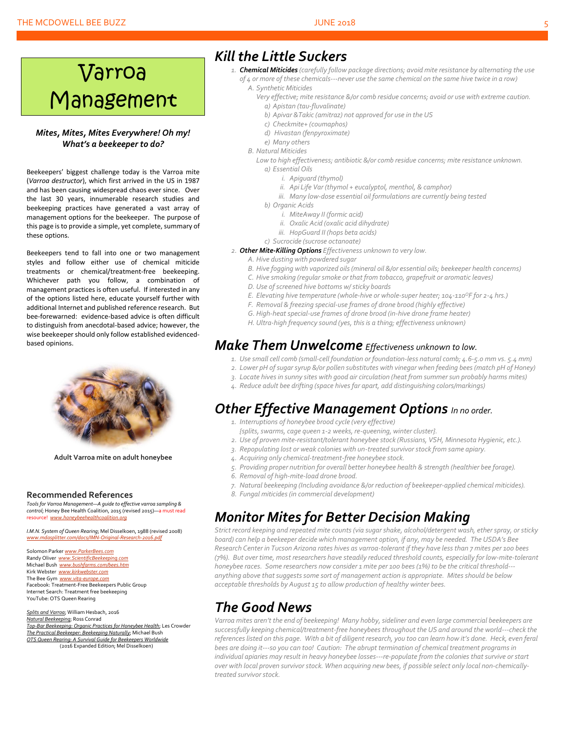#### THE MCDOWELL BEE BUZZ **SEEMS FOOT A SECOND FINITE 2018**

# Varroa Management

#### *Mites, Mites, Mites Everywhere! Oh my! What's a beekeeper to do?*

Beekeepers' biggest challenge today is the Varroa mite (*Varroa destructor*), which first arrived in the US in 1987 and has been causing widespread chaos ever since. Over the last 30 years, innumerable research studies and beekeeping practices have generated a vast array of management options for the beekeeper. The purpose of this page is to provide a simple, yet complete, summary of these options.

Beekeepers tend to fall into one or two management styles and follow either use of chemical miticide treatments or chemical/treatment-free beekeeping. Whichever path you follow, a combination of management practices is often useful. If interested in any of the options listed here, educate yourself further with additional Internet and published reference research. But bee-forewarned: evidence-based advice is often difficult to distinguish from anecdotal-based advice; however, the wise beekeeper should only follow established evidencedbased opinions.



**Adult Varroa mite on adult honeybee**

#### **Recommended References**

*Tools for Varroa Management—A guide to effective varroa sampling & control*; Honey Bee Health Coalition, 2015 (revised 2015)—a must read resource! *[www.honeybeehealthcoalition.org](http://www.honeybeehealthcoalition.org/)*

*I.M.N. System of Queen Rearing*; Mel Disselkoen, 1988 (revised 2008) *[www.mdasplitter.com/docs/IMN-Original-Research-2016.pdf](http://www.mdasplitter.com/docs/IMN-Original-Research-2016.pdf)*

Solomon Parker *[www.ParkerBees.com](http://www.parkerbees.com/)* Randy Oliver *www.ScientificBeekeeping.* Michael Bush *[www.bushfarms.com/bees.htm](http://www.bushfarms.com/bees.htm)* Kirk Webster *[www.kirkwebster.com](http://www.kirkwebster.com/)* The Bee Gym *[www.vita-europe.com](http://www.vita-europe.com/)* Facebook: Treatment-Free Beekeepers Public Group Internet Search: Treatment free beekeeping YouTube: OTS Queen Rearing

*Splits and Varroa*; William Hesbach, 2016 *Natural Beekeeping*; Ross Conrad *Top-Bar Beekeeping: Organic Practices for Honeybee Health*; Les Crowder *The Practical Beekeeper: Beekeeping Naturally*; Michael Bush *OTS Queen Rearing: A Survival Guide for Beekeepers Worldwide* (2016 Expanded Edition; Mel Disselkoen)

### *Kill the Little Suckers*

- *1. Chemical Miticides (carefully follow package directions; avoid mite resistance by alternating the use of 4 or more of these chemicals---never use the same chemical on the same hive twice in a row) A. Synthetic Miticides*
	-
	- *Very effective; mite resistance &/or comb residue concerns; avoid or use with extreme caution. a) Apistan (tau-fluvalinate)*
		- *b) Apivar &Takic (amitraz) not approved for use in the US*
		- *c) Checkmite+ (coumaphos)*
		- *d) Hivastan (fenpyroximate)*
		- *e) Many others*
	- *B. Natural Miticides*

*Low to high effectiveness; antibiotic &/or comb residue concerns; mite resistance unknown. a) Essential Oils*

- *i. Apiguard (thymol)*
- *ii. Api Life Var (thymol + eucalyptol, menthol, & camphor)*
- *iii. Many low-dose essential oil formulations are currently being tested*
- *b) Organic Acids*
	- *i. MiteAway II (formic acid)*
	- *ii. Oxalic Acid (oxalic acid dihydrate)*
	- *iii. HopGuard II (hops beta acids)*
- *c) Sucrocide (sucrose octanoate)*
- *2. Other Mite-Killing Options Effectiveness unknown to very low.*
	- *A. Hive dusting with powdered sugar*
	- *B. Hive fogging with vaporized oils (mineral oil &/or essential oils; beekeeper health concerns)*
	- *C. Hive smoking (regular smoke or that from tobacco, grapefruit or aromatic leaves)*
	- *D. Use of screened hive bottoms w/ sticky boards*
	- *E. Elevating hive temperature (whole-hive or whole-super heater; 104-110<sup>O</sup>F for 2-4 hrs.)*
	- *F. Removal & freezing special-use frames of drone brood (highly effective)*
	- *G. High-heat special-use frames of drone brood (in-hive drone frame heater)*
	- *H. Ultra-high frequency sound (yes, this is a thing; effectiveness unknown)*

### *Make Them Unwelcome Effectiveness unknown to low.*

- *1. Use small cell comb (small-cell foundation or foundation-less natural comb; 4.6-5.0 mm vs. 5.4 mm)*
- *2. Lower pH of sugarsyrup &/or pollen substitutes with vinegar when feeding bees (match pH of Honey)*
- *3. Locate hives in sunny sites with good air circulation (heat from summer sun probably harms mites)*
- *4. Reduce adult bee drifting (space hivesfar apart, add distinguishing colors/markings)*

### *Other Effective Management Options In no order.*

- *1. Interruptions of honeybee brood cycle (very effective)*
- *{splits, swarms, cage queen 1-2 weeks, re-queening, winter cluster}.*
- *2. Use of proven mite-resistant/tolerant honeybee stock (Russians, VSH, Minnesota Hygienic, etc.).*
- *3. Repopulating lost or weak colonies with un-treated survivor stock from same apiary.*
- *4. Acquiring only chemical-treatment-free honeybee stock.*
- *5. Providing proper nutrition for overall better honeybee health & strength (healthier bee forage).*
- *6. Removal of high-mite-load drone brood.*
- *7. Natural beekeeping (Including avoidance &/or reduction of beekeeper-applied chemical miticides).*
- *8. Fungal miticides (in commercial development)*

### *Monitor Mites for Better Decision Making*

*Strict record keeping and repeated mite counts (via sugar shake, alcohol/detergent wash, ether spray, or sticky board) can help a beekeeper decide which management option, if any, may be needed. The USDA's Bee Research Center in Tucson Arizona rates hives as varroa-tolerant if they have less than 7 mites per 100 bees (7%). But over time, most researchers have steadily reduced threshold counts, especially for low-mite-tolerant honeybee races. Some researchers now consider 1 mite per 100 bees (1%) to be the critical threshold-- anything above that suggestssome sort of management action is appropriate. Mites should be below acceptable thresholds by August 15 to allow production of healthy winter bees.*

### *The Good News*

*Varroa mites aren't the end of beekeeping! Many hobby, sideliner and even large commercial beekeepers are successfully keeping chemical/treatment-free honeybees throughout the US and around the world---check the references listed on this page. With a bit of diligent research, you too can learn how it's done. Heck, even feral bees are doing it---so you can too! Caution: The abrupt termination of chemical treatment programs in individual apiaries may result in heavy honeybee losses---re-populate from the colonies that survive or start over with local proven survivor stock. When acquiring new bees, if possible select only local non-chemicallytreated survivor stock.*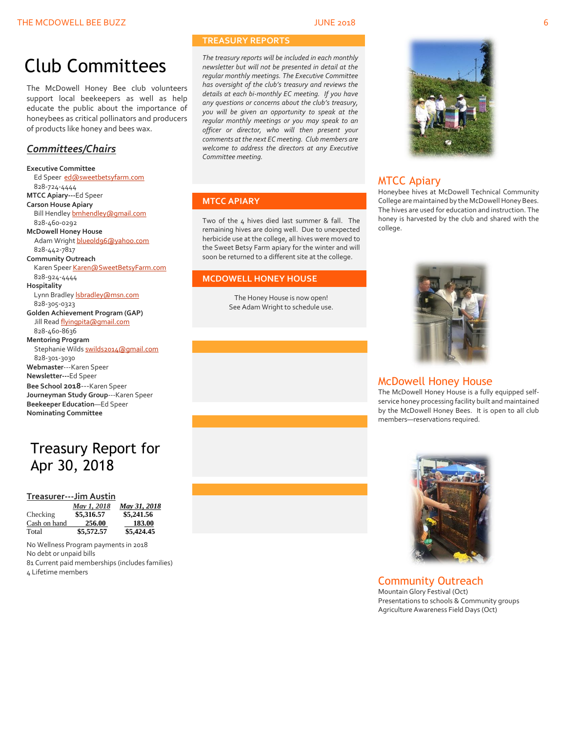## Club Committees

The McDowell Honey Bee club volunteers support local beekeepers as well as help educate the public about the importance of honeybees as critical pollinators and producers of products like honey and bees wax.

#### *Committees/Chairs*

**Executive Committee** Ed Speer [ed@sweetbetsyfarm.com](mailto:ed@sweetbetsyfarm.com) 828-724-4444 **MTCC Apiary---**Ed Speer **Carson House Apiary** Bill Hendle[y bmhendley@gmail.com](mailto:bmhendley@gmail.com) 828-460-0292 **McDowell Honey House** Adam Wright [blueold96@yahoo.com](mailto:blueold96@yahoo.com) 828-442-7817 **Community Outreach** Karen Spee[r Karen@SweetBetsyFarm.com](mailto:Karen@SweetBetsyFarm.com) 828-924-4444 **Hospitality** Lynn Bradley *sbradley@msn.com*  828-305-0323 **Golden Achievement Program (GAP)** Jill Read [flyingpita@gmail.com](mailto:flyingpita@gmail.com) 828-460-8636 **Mentoring Program** Stephanie Wild[s swilds2014@gmail.com](mailto:swilds2014@gmail.com) 828-301-3030 **Webmaster**---Karen Speer **Newsletter---**Ed Speer **Bee School 2018**---Karen Speer **Journeyman Study Group**---Karen Speer **Beekeeper Education**—Ed Speer **Nominating Committee**

### Treasury Report for Apr 30, 2018

#### **Treasurer---Jim Austin**

|              | May 1, 2018 | May 31, 2018 |
|--------------|-------------|--------------|
| Checking     | \$5,316.57  | \$5,241.56   |
| Cash on hand | 256.00      | 183.00       |
| Total        | \$5,572.57  | \$5,424.45   |

No Wellness Program payments in 2018 No debt or unpaid bills 81 Current paid memberships (includes families) 4 Lifetime members

#### **TREASURY REPORTS**

*The treasury reports will be included in each monthly newsletter but will not be presented in detail at the regular monthly meetings. The Executive Committee has oversight of the club's treasury and reviews the details at each bi-monthly EC meeting. If you have any questions or concerns about the club's treasury, you will be given an opportunity to speak at the regular monthly meetings or you may speak to an officer or director, who will then present your comments at the next EC meeting. Club members are welcome to address the directors at any Executive Committee meeting.*

#### **MTCC APIARY**

Two of the 4 hives died last summer & fall. The remaining hives are doing well. Due to unexpected herbicide use at the college, all hives were moved to the Sweet Betsy Farm apiary for the winter and will soon be returned to a different site at the college.

#### **MCDOWELL HONEY HOUSE**

The Honey House is now open! See Adam Wright to schedule use.



#### MTCC Apiary

Honeybee hives at McDowell Technical Community College are maintained by the McDowell Honey Bees. The hives are used for education and instruction. The honey is harvested by the club and shared with the college.



#### McDowell Honey House

The McDowell Honey House is a fully equipped selfservice honey processing facility built and maintained by the McDowell Honey Bees. It is open to all club members—reservations required.



Community Outreach Mountain Glory Festival (Oct) Presentations to schools & Community groups Agriculture Awareness Field Days (Oct)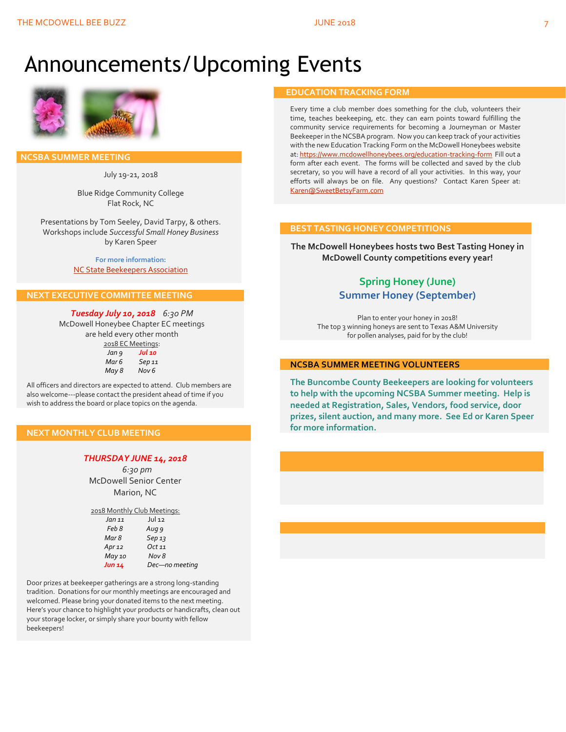## Announcements/Upcoming Events



 **NCSBA SUMMER MEETING**

July 19-21, 2018

Blue Ridge Community College Flat Rock, NC

Presentations by Tom Seeley, David Tarpy, & others. Workshops include *Successful Small Honey Business* by Karen Speer

> **For more information:** [NC State Beekeepers Association](http://www.ncbeekeepers.org/)

#### **NEXT EXECUTIVE COMMITTEE MEETING**

*Tuesday July 10, 2018 6:30 PM* McDowell Honeybee Chapter EC meetings are held every other month

| 2018 EC Meetings: |        |  |
|-------------------|--------|--|
| Jan 9             | Jul 10 |  |
| Mar 6             | Sep 11 |  |
| May 8             | Nov 6  |  |

All officers and directors are expected to attend. Club members are also welcome---please contact the president ahead of time if you wish to address the board or place topics on the agenda.

#### **NEXT MONTHLY CLUB MEETING**

#### *THURSDAY JUNE 14, 2018*

 *6:30 pm* McDowell Senior Center Marion, NC

| 2018 Monthly Club Meetings: |                   |
|-----------------------------|-------------------|
| Jan 11                      | $J$ U $\vert$ 12  |
| Feb 8                       | Aug 9             |
| Mar 8                       | Sep <sub>13</sub> |
| Apr $12$                    | Oct 11            |
| May 10                      | Nov 8             |
| Jun 14                      | Dec-no meeting    |

Door prizes at beekeeper gatherings are a strong long-standing tradition. Donations for our monthly meetings are encouraged and welcomed. Please bring your donated items to the next meeting. Here's your chance to highlight your products or handicrafts, clean out your storage locker, or simply share your bounty with fellow beekeepers!

#### **EDUCATION TRACKING FORM**

Every time a club member does something for the club, volunteers their time, teaches beekeeping, etc. they can earn points toward fulfilling the community service requirements for becoming a Journeyman or Master Beekeeper in the NCSBA program. Now you can keep track of your activities with the new Education Tracking Form on the McDowell Honeybees website at[: https://www.mcdowellhoneybees.org/education-tracking-form](https://www.mcdowellhoneybees.org/education-tracking-form) Fill out a form after each event. The forms will be collected and saved by the club secretary, so you will have a record of all your activities. In this way, your efforts will always be on file. Any questions? Contact Karen Speer at: [Karen@SweetBetsyFarm.com](mailto:Karen@SweetBetsyFarm.com)

#### **BEST TASTING HONEY COMPETITIONS**

**The McDowell Honeybees hosts two Best Tasting Honey in McDowell County competitions every year!**

#### **Spring Honey (June) Summer Honey (September)**

Plan to enter your honey in 2018! The top 3 winning honeys are sent to Texas A&M University for pollen analyses, paid for by the club!

#### **NCSBA SUMMER MEETING VOLUNTEERS**

**The Buncombe County Beekeepers are looking for volunteers to help with the upcoming NCSBA Summer meeting. Help is needed at Registration, Sales, Vendors, food service, door prizes, silent auction, and many more. See Ed or Karen Speer for more information.**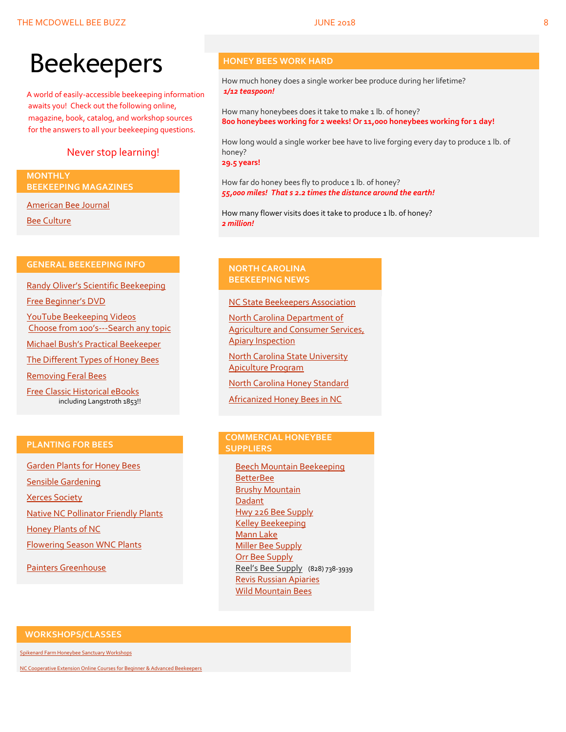A world of easily-accessible beekeeping information awaits you! Check out the following online, magazine, book, catalog, and workshop sources for the answers to all your beekeeping questions.

#### Never stop learning!

#### **MONTHLY BEEKEEPING MAGAZINES**

[American Bee Journal](http://www.americanbeejournal.com/)

[Bee Culture](http://www.beeculture.com/)

#### **GENERAL BEEKEEPING INFO**

Randy Oliver's [Scientific Beekeeping](http://scientificbeekeeping.com/)

[Free Beginner's DVD](http://www.worldofbeekeeping.com/free-kit/)

[YouTube Beekeeping Videos](https://www.youtube.com/results?search_query=beekeeping) Choose from 100's[---Search any topic](https://www.youtube.com/results?search_query=beekeeping)

[Michael Bush's Practical Beekeeper](http://www.bushfarms.com/bees.htm)

[The Different Types of Honey Bees](https://www.cals.ncsu.edu/entomology/apiculture/pdfs/1.12%20copy.pdf)

[Removing Feral Bees](http://www.ces.ncsu.edu/depts/ent/notes/Urban/bees-faq.htm)

[Free Classic Historical eBooks](http://www.apiculture-populaire.com/) including Langstroth 1853!!

#### **HONEY BEES WORK HARD**

How much honey does a single worker bee produce during her lifetime? *1/12 teaspoon!*

How many honeybees does it take to make 1 lb. of honey? **800 honeybees working for 2 weeks! Or 11,000 honeybees working for 1 day!**

How long would a single worker bee have to live forging every day to produce 1 lb. of honey?

**29.5 years!**

How far do honey bees fly to produce 1 lb. of honey? *55,000 miles! That s 2.2 times the distance around the earth!*

How many flower visits does it take to produce 1 lb. of honey? *2 million!*

#### **NORTH CAROLINA BEEKEEPING NEWS**

[NC State Beekeepers Association](http://www.ncbeekeepers.org/)

[North Carolina Department of](http://www.ncbeekeepers.org/resources/apiary-inspection-program)  [Agriculture and Consumer Services,](http://www.ncbeekeepers.org/resources/apiary-inspection-program)  [Apiary Inspection](http://www.ncbeekeepers.org/resources/apiary-inspection-program)

[North Carolina State University](http://entomology.ncsu.edu/apiculture)  [Apiculture Program](http://entomology.ncsu.edu/apiculture)

[North Carolina Honey Standard](http://www.ncbeekeepers.org/honey/nc-honey-standard)

[Africanized Honey Bees in NC](http://wncbees.org/wp-content/uploads/2014/08/AHBs-Some-questions-and-answers-NCSU-1.03.pdf)

#### **PLANTING FOR BEES**

[Garden Plants for Honey Bees](http://www.wicwas.com/Garden_Plants_for_Honey_Bees) [Sensible Gardening](http://sensiblegardening.com/busy-busy-bees/) [Xerces Society](http://www.xerces.org/pollinator-conservation/gardens/) [Native NC Pollinator Friendly Plants](http://wncbees.org/wp-content/uploads/2014/07/Recommended-Polliinator-Friendly-Plant-List-for-Greater-Asheville-NC-with-Nurseries.pdf) [Honey Plants of NC](http://wncbees.org/wp-content/uploads/2014/08/Honey-Plants-of-North-Carolina-NCSU-1.04.pdf) [Flowering Season WNC Plants](http://wncbees.org/wp-content/uploads/2014/07/Typical-Flowering-Seasons-for-Western-North-Carolina-Honey-and-Pollen-Sources-Edd-Buchanan-John-Mundy-Chris-Mathis.pdf)

[Painters Greenhouse](http://www.paintersgreenhouse.com/)

#### **COMMERCIAL HONEYBEE SUPPLIERS**

[Beech Mountain Beekeeping](http://beechmountainbeesupply.com/store/cart.php) **[BetterBee](http://www.betterbee.com/)** [Brushy Mountain](http://www.brushymountainbeefarm.com/) [Dadant](https://www.dadant.com/) [Hwy 226 Bee Supply](http://hwy226beesupplies.com/) [Kelley Beekeeping](https://www.kelleybees.com/) [Mann Lake](http://www.mannlakeltd.com/) [Miller Bee Supply](http://millerbeesupply.com/catalog/) [Orr Bee Supply](http://www.orrbeesupply.com/) Reel's Bee Supply (828) 738-3939 [Revis Russian Apiaries](http://revisrussians.com/) [Wild Mountain Bees](http://www.wildmountainbees.com/)

#### **WORKSHOPS/CLASSES**

[Spikenard Farm Honeybee Sanctuary Workshops](http://spikenardfarm.org/)

[NC Cooperative Extension Online Courses for Beginner &](https://entomology.ces.ncsu.edu/apiculture/bees/) Advanced Beekeepers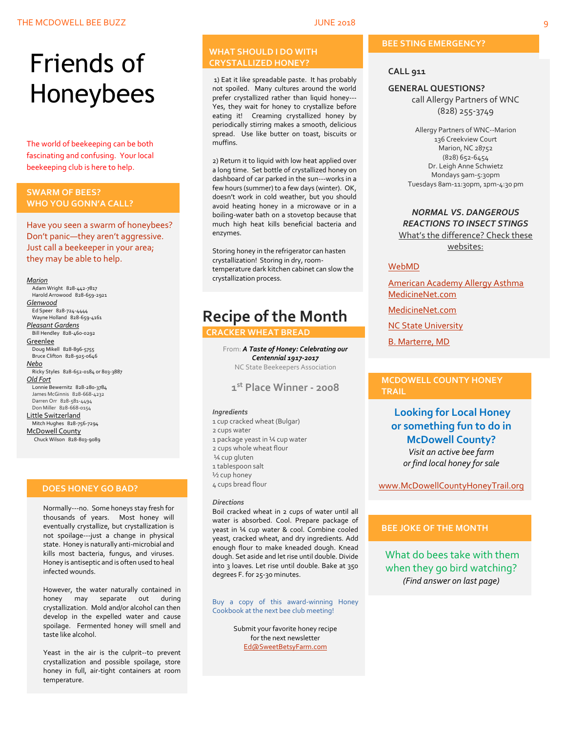# Friends of Honeybees

The world of beekeeping can be both fascinating and confusing. Your local beekeeping club is here to help.

#### <span id="page-8-0"></span>**SWARM OF BEES? WHO YOU GONN'A CALL?**

Have you seen a swarm of honeybees? Don't panic—they aren't aggressive. Just call a beekeeper in your area; they may be able to help.

#### *Marion*

 Adam Wright 828-442-7817 Harold Arrowood 828-659-2921 *Glenwood* Ed Speer 828-724-4444 Wayne Holland 828-659-4161 *Pleasant Gardens* Bill Hendley 828-460-0292 **Greenlee**  Doug Mikell 828-896-5755 Bruce Clifton 828-925-0646 *Nebo* Ricky Styles 828-652-0184 or 803-3887 *Old Fort* Lonnie Bewernitz 828-280-3784 James McGinnis 828-668-4232 Darren Orr 828-581-4494 Don Miller 828-668-0154 Little Switzerland Mitch Hughes 828-756-7294 McDowell County Chuck Wilson 828-803-9089

#### **DOES HONEY GO BAD?**

Normally---no. Some honeys stay fresh for thousands of years. Most honey will eventually crystallize, but crystallization is not spoilage---just a change in physical state. Honey is naturally anti-microbial and kills most bacteria, fungus, and viruses. Honey is antiseptic and is often used to heal infected wounds.

However, the water naturally contained in honey may separate out during crystallization. Mold and/or alcohol can then develop in the expelled water and cause spoilage. Fermented honey will smell and taste like alcohol.

Yeast in the air is the culprit--to prevent crystallization and possible spoilage, store honey in full, air-tight containers at room temperature.

#### **WHAT SHOULD I DO WITH CRYSTALLIZED HONEY?**

1) Eat it like spreadable paste. It has probably not spoiled. Many cultures around the world prefer crystallized rather than liquid honey--- Yes, they wait for honey to crystallize before eating it! Creaming crystallized honey by periodically stirring makes a smooth, delicious spread. Use like butter on toast, biscuits or muffins.

2) Return it to liquid with low heat applied over a long time. Set bottle of crystallized honey on dashboard of car parked in the sun---works in a few hours (summer) to a few days (winter). OK, doesn't work in cold weather, but you should avoid heating honey in a microwave or in a boiling-water bath on a stovetop because that much high heat kills beneficial bacteria and enzymes.

Storing honey in the refrigerator can hasten crystallization! Storing in dry, roomtemperature dark kitchen cabinet can slow the crystallization process.

### **Recipe of the Month**

#### **CRACKER WHEAT BREAD**

From: *A Taste of Honey: Celebrating our Centennial 1917-2017* NC State Beekeepers Association

#### **1 st Place Winner - 2008**

#### *Ingredients*

1 cup cracked wheat (Bulgar) 2 cups water 1 package yeast in ¼ cup water 2 cups whole wheat flour ¼ cup gluten 1 tablespoon salt ½ cup honey 4 cups bread flour *Directions*

Boil cracked wheat in 2 cups of water until all water is absorbed. Cool. Prepare package of yeast in ¼ cup water & cool. Combine cooled yeast, cracked wheat, and dry ingredients. Add enough flour to make kneaded dough. Knead dough. Set aside and let rise until double. Divide into 3 loaves. Let rise until double. Bake at 350 degrees F. for 25-30 minutes.

Buy a copy of this award-winning Honey Cookbook at the next bee club meeting!

> Submit your favorite honey recipe for the next newsletter [Ed@SweetBetsyFarm.com](mailto:Ed@SweetBetsyFarm.com)

#### **BEE STING EMERGENCY?**

#### **CALL 911**

#### **GENERAL QUESTIONS?**

call Allergy Partners of WNC (828) 255-3749

Allergy Partners of WNC--Marion 136 Creekview Court Marion, NC 28752 (828) 652-6454 Dr. Leigh Anne Schwietz Mondays 9am-5:30pm Tuesdays 8am-11:30pm, 1pm-4:30 pm

#### *NORMAL VS. DANGEROUS REACTIONS TO INSECT STINGS* What's the difference? Check these

websites:

#### [WebMD](http://www.webmd.com/allergies/guide/insect-stings)

[American Academy Allergy Asthma](http://www.aaaai.org/conditions-and-treatments/library/allergy-library/stinging-insect-allergy.aspx) [MedicineNet.com](http://www.medicinenet.com/insect_sting_allergies/article.htm)

[MedicineNet.com](http://www.medicinenet.com/insect_sting_allergies/article.htm)

**[NC State University](http://wncbees.org/wp-content/uploads/2014/08/Allergy-to-Insect-Stings-NCSU-1.09.pdf)** 

[B. Marterre, MD](http://wncbees.org/wp-content/uploads/2014/08/Bee-Stings-Immunology-Allergy-and-Treatment-Marterre.pdf)

#### **MCDOWELL COUNTY HONEY TRAIL**

**Looking for Local Honey or something fun to do in McDowell County?** *Visit an active bee farm or find local honey for sale*

[www.McDowellCountyHoneyTrail.org](http://www.mcdowellcountyhoneytrail.org/)

#### **BEE JOKE OF THE MONTH**

What do bees take with them when they go bird watching? *(Find answer on last page)*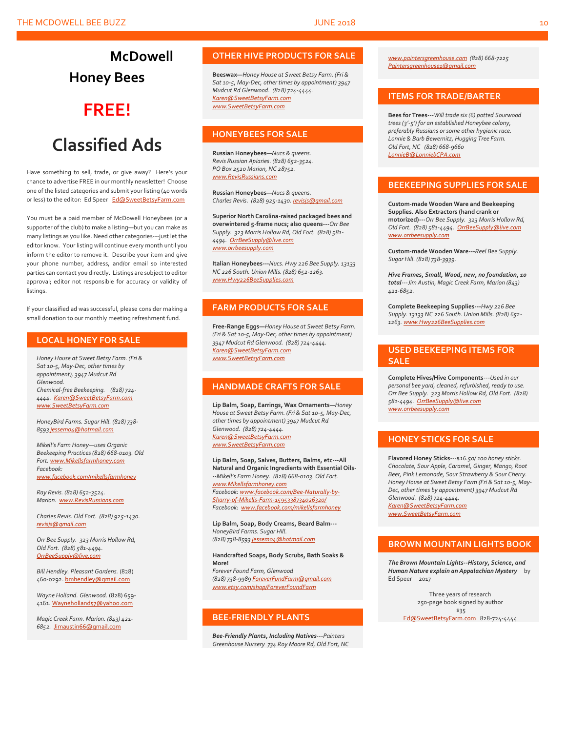### **McDowell Honey Bees**

### **FREE!**

### **Classified Ads**

Have something to sell, trade, or give away? Here's your chance to advertise FREE in our monthly newsletter! Choose one of the listed categories and submit your listing (40 words or less) to the editor: Ed Speer [Ed@SweetBetsyFarm.com](mailto:Ed@SweetBetsyFarm.com)

You must be a paid member of McDowell Honeybees (or a supporter of the club) to make a listing—but you can make as many listings as you like. Need other categories---just let the editor know. Your listing will continue every month until you inform the editor to remove it. Describe your item and give your phone number, address, and/or email so interested parties can contact you directly. Listings are subject to editor approval; editor not responsible for accuracy or validity of listings.

If your classified ad was successful, please consider making a small donation to our monthly meeting refreshment fund.

#### **LOCAL HONEY FOR SALE**

*Honey House at Sweet Betsy Farm. (Fri & Sat 10-5, May-Dec, other times by appointment), 3947 Mudcut Rd Glenwood. Chemical-free Beekeeping. (828) 724- 4444. [Karen@SweetBetsyFarm.com](mailto:Karen@SweetBetsyFarm.com) www.SweetBetsyFarm.com*

*HoneyBird Farms. Sugar Hill. (828) 738- 859[3 jessem04@hotmail.com](mailto:jessem04@hotmail.com)*

*Mikell's Farm Honey—uses Organic Beekeeping Practices (828) 668-0103. Old Fort[. www.Mikellsfarmhoney.com](http://www.mikellsfarmhoney.com/) Facebook: [www.facebook.com/mikellsfarmhoney](http://www.facebook.com/mikellsfarmhoney)*

*Ray Revis. (828) 652-3524. Marion. [www.RevisRussians.com](http://www.revisrussians.com/)*

*Charles Revis. Old Fort. (828) 925-1430. [revisjs@gmail.com](mailto:revisjs@gmail.com)*

*Orr Bee Supply. 323 Morris Hollow Rd, Old Fort. (828) 581-4494. [OrrBeeSupply@live.com](mailto:OrrBeeSupply@live.com)*

*Bill Hendley. Pleasant Gardens.* (828) 460-0292[. bmhendley@gmail.com](mailto:bmhendley@gmail.com)

*Wayne Holland. Glenwood.* (828) 659- 4161[. Wayneholland57@yahoo.com](mailto:Wayneholland57@yahoo.com)

*Magic Creek Farm. Marion. (843) 421- 6852.* [Jimaustin66@gmail.com](mailto:Jimaustin66@gmail.com)

#### **OTHER HIVE PRODUCTS FOR SALE**

**Beeswax—***Honey House at Sweet Betsy Farm. (Fri & Sat 10-5, May-Dec, other times by appointment) 3947 Mudcut Rd Glenwood. (828) 724-4444. [Karen@SweetBetsyFarm.com](mailto:Karen@SweetBetsyFarm.com) www.SweetBetsyFarm.com*

#### **HONEYBEES FOR SALE**

**Russian Honeybees—***Nucs & queens. Revis Russian Apiaries. (828) 652-3524. PO Box 2520 Marion, NC 28752. [www.RevisRussians.com](http://www.revisrussians.com/)*

**Russian Honeybees—***Nucs & queens. Charles Revis. (828) 925-1430. [revisjs@gmail.com](mailto:revisjs@gmail.com)*

**Superior North Carolina-raised packaged bees and overwintered 5-frame nucs; also queens---***Orr Bee Supply. 323 Morris Hollow Rd, Old Fort. (828) 581- 4494. [OrrBeeSupply@live.com](mailto:OrrBeeSupply@live.com) www.orrbeesupply.com*

**Italian Honeybees---***Nucs. Hwy 226 Bee Supply. 13133 NC 226 South. Union Mills. (828) 652-1263. [www.Hwy226BeeSupplies.com](http://www.hwy226beesupplies.com/)*

#### **FARM PRODUCTS FOR SALE**

**Free-Range Eggs—***Honey House at Sweet Betsy Farm. (Fri & Sat 10-5, May-Dec, other times by appointment) 3947 Mudcut Rd Glenwood. (828) 724-4444. [Karen@SweetBetsyFarm.com](mailto:Karen@SweetBetsyFarm.com) www.SweetBetsyFarm.com*

#### **HANDMADE CRAFTS FOR SALE**

**Lip Balm, Soap, Earrings, Wax Ornaments—***Honey House at Sweet Betsy Farm. (Fri & Sat 10-5, May-Dec, other times by appointment) 3947 Mudcut Rd Glenwood. (828) 724-4444. [Karen@SweetBetsyFarm.com](mailto:Karen@SweetBetsyFarm.com) [www.SweetBetsyFarm.com](http://www.sweetbetsyfarm.com/)*

**Lip Balm, Soap, Salves, Butters, Balms, etc---All Natural and Organic Ingredients with Essential Oils- --***Mikell's Farm Honey. (828) 668-0103. Old Fort. [www.Mikellsfarmhoney.com](http://www.mikellsfarmhoney.com/) Facebook[: www.facebook.com/Bee-Naturally-by-](http://www.facebook.com/Bee-Naturally-by-Sharry-of-Mikells-Farm-1595338734026320/)[Sharry-of-Mikells-Farm-1595338734026320/](http://www.facebook.com/Bee-Naturally-by-Sharry-of-Mikells-Farm-1595338734026320/) Facebook: [www.facebook.com/mikellsfarmhoney](http://www.facebook.com/mikellsfarmhoney)*

**Lip Balm, Soap, Body Creams, Beard Balm---** *HoneyBird Farms. Sugar Hill. (828) 738-859[3 jessem04@hotmail.com](mailto:jessem04@hotmail.com)*

#### **Handcrafted Soaps, Body Scrubs, Bath Soaks & More!**

*Forever Found Farm, Glenwood (828) 738-9989 [ForeverFundFarm@gmail.com](mailto:ForeverFundFarm@gmail.com) [www.etsy.com/shop/ForeverFoundFarm](http://www.etsy.com/shop/ForeverFoundFarm)*

#### **BEE-FRIENDLY PLANTS**

*Bee-Friendly Plants, Including Natives---Painters Greenhouse Nursery 734 Roy Moore Rd, Old Fort, NC* 

*[www.paintersgreenhouse.com](http://www.paintersgreenhouse.com/) (828) 668-7225 [Paintersgreenhouse1@gmail.com](mailto:Paintersgreenhouse1@gmail.com)*

#### **ITEMS FOR TRADE/BARTER**

**Bees for Trees---***Will trade six (6) potted Sourwood trees (3'-5') for an established Honeybee colony, preferably Russians or some other hygienic race. Lonnie & Barb Bewernitz, Hugging Tree Farm. Old Fort, NC (828) 668-9660 [LonnieB@LonniebCPA.com](mailto:LonnieB@LonniebCPA.com)*

#### **BEEKEEPING SUPPLIES FOR SALE**

**Custom-made Wooden Ware and Beekeeping Supplies. Also Extractors (hand crank or motorized)---***Orr Bee Supply. 323 Morris Hollow Rd, Old Fort. (828) 581-4494. [OrrBeeSupply@live.com](mailto:OrrBeeSupply@live.com) [www.orrbeesupply.com](file:///K:/McDowell%20Honeybees/2016/2016%20Newsletters/May%202016%20Newsletter/www.orrbeesupply.com)*

**Custom-made Wooden Ware---***Reel Bee Supply. Sugar Hill. (828) 738-3939.*

*Hive Frames, Small, Wood, new, no foundation, 10 total---Jim Austin, Magic Creek Farm, Marion (843) 421-6852.*

**Complete Beekeeping Supplies---***Hwy 226 Bee Supply. 13133 NC 226 South. Union Mills. (828) 652- 1263[. www.Hwy226BeeSupplies.com](http://www.hwy226beesupplies.com/)*

#### **USED BEEKEEPING ITEMS FOR SALE**

**Complete Hives/Hive Components**---*Used in our personal bee yard, cleaned, refurbished, ready to use. Orr Bee Supply. 323 Morris Hollow Rd, Old Fort. (828) 581-4494. [OrrBeeSupply@live.com](mailto:OrrBeeSupply@live.com) [www.orrbeesupply.com](file:///K:/McDowell%20Honeybees/2016/2016%20Newsletters/May%202016%20Newsletter/www.orrbeesupply.com)*

#### **HONEY STICKS FOR SALE**

**Flavored Honey Sticks**---\$*16.50/ 100 honey sticks. Chocolate, Sour Apple, Caramel, Ginger, Mango, Root Beer, Pink Lemonade, Sour Strawberry & Sour Cherry. Honey House at Sweet Betsy Farm (Fri & Sat 10-5, May-Dec, other times by appointment) 3947 Mudcut Rd Glenwood. (828) 724-4444. [Karen@SweetBetsyFarm.com](mailto:Karen@SweetBetsyFarm.com)*

*www.SweetBetsyFarm.com*

#### **BROWN MOUNTAIN LIGHTS BOOK**

*The Brown Mountain Lights--History, Science, and Human Nature explain an Appalachian Mystery* by Ed Speer 2017

Three years of research 250-page book signed by author \$35 [Ed@SweetBetsyFarm.com](mailto:Ed@SweetBetsyFarm.com) 828-724-4444